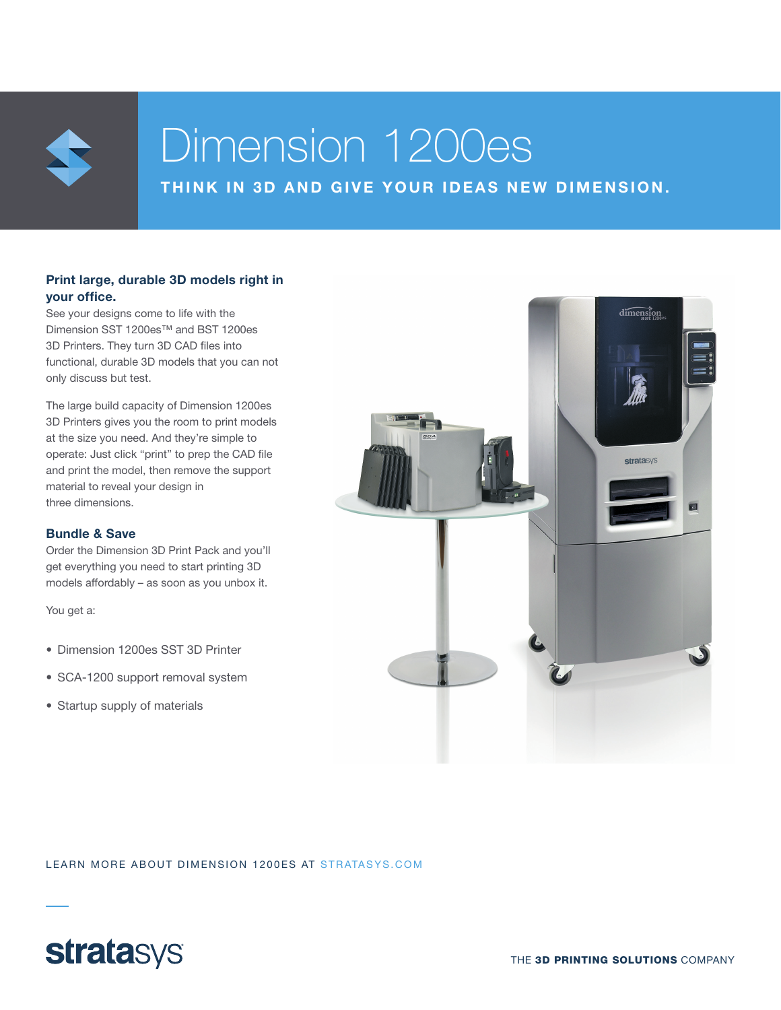

# Dimension 1200es

THINK IN 3D AND GIVE YOUR IDEAS NEW DIMENSION.

## Print large, durable 3D models right in your office.

See your designs come to life with the Dimension SST 1200es™ and BST 1200es 3D Printers. They turn 3D CAD files into functional, durable 3D models that you can not only discuss but test.

The large build capacity of Dimension 1200es 3D Printers gives you the room to print models at the size you need. And they're simple to operate: Just click "print" to prep the CAD file and print the model, then remove the support material to reveal your design in three dimensions.

### Bundle & Save

Order the Dimension 3D Print Pack and you'll get everything you need to start printing 3D models affordably – as soon as you unbox it.

You get a:

- Dimension 1200es SST 3D Printer
- SCA-1200 support removal system
- Startup supply of materials



LEARN MORE ABOUT DIMENSION 1200ES AT STRATASYS.COM